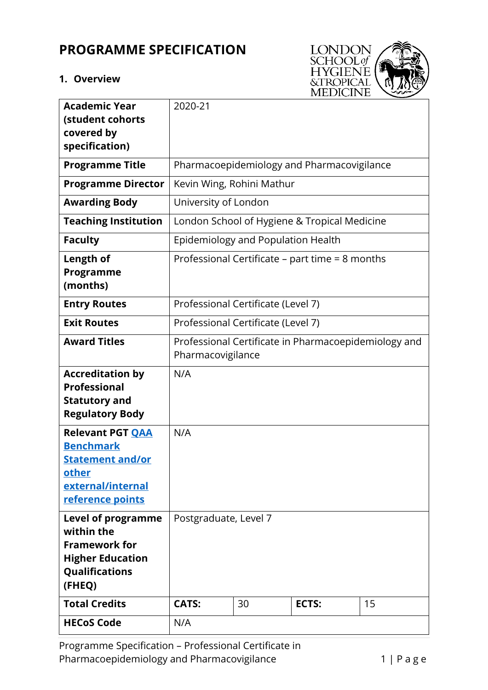# **PROGRAMME SPECIFICATION**

## **1. Overview**



| <b>Academic Year</b><br>(student cohorts                                                                                      | 2020-21                                                                   |    |       |    |  |
|-------------------------------------------------------------------------------------------------------------------------------|---------------------------------------------------------------------------|----|-------|----|--|
| covered by                                                                                                                    |                                                                           |    |       |    |  |
| specification)                                                                                                                |                                                                           |    |       |    |  |
| <b>Programme Title</b>                                                                                                        | Pharmacoepidemiology and Pharmacovigilance                                |    |       |    |  |
| <b>Programme Director</b>                                                                                                     | Kevin Wing, Rohini Mathur                                                 |    |       |    |  |
| <b>Awarding Body</b>                                                                                                          | University of London                                                      |    |       |    |  |
| <b>Teaching Institution</b>                                                                                                   | London School of Hygiene & Tropical Medicine                              |    |       |    |  |
| <b>Faculty</b>                                                                                                                | Epidemiology and Population Health                                        |    |       |    |  |
| Length of<br>Programme                                                                                                        | Professional Certificate – part time = 8 months                           |    |       |    |  |
| (months)                                                                                                                      |                                                                           |    |       |    |  |
| <b>Entry Routes</b>                                                                                                           | Professional Certificate (Level 7)                                        |    |       |    |  |
| <b>Exit Routes</b>                                                                                                            | Professional Certificate (Level 7)                                        |    |       |    |  |
| <b>Award Titles</b>                                                                                                           | Professional Certificate in Pharmacoepidemiology and<br>Pharmacovigilance |    |       |    |  |
| <b>Accreditation by</b><br><b>Professional</b><br><b>Statutory and</b><br><b>Regulatory Body</b>                              | N/A                                                                       |    |       |    |  |
| <b>Relevant PGT QAA</b><br><b>Benchmark</b><br><b>Statement and/or</b><br>other<br>external/internal<br>reference points      | N/A                                                                       |    |       |    |  |
| <b>Level of programme</b><br>within the<br><b>Framework for</b><br><b>Higher Education</b><br><b>Qualifications</b><br>(FHEQ) | Postgraduate, Level 7                                                     |    |       |    |  |
| <b>Total Credits</b>                                                                                                          | <b>CATS:</b>                                                              | 30 | ECTS: | 15 |  |
| <b>HECoS Code</b>                                                                                                             | N/A                                                                       |    |       |    |  |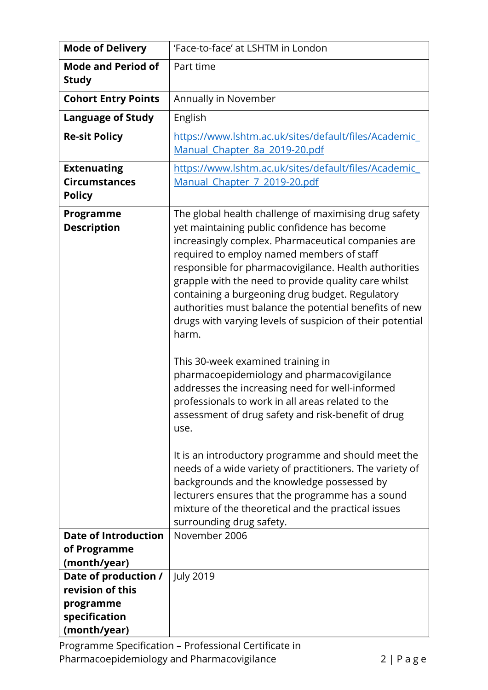| <b>Mode of Delivery</b>                                                                | 'Face-to-face' at LSHTM in London                                                                                                                                                                                                                                                                                                                                                                                                                                                                            |  |  |  |
|----------------------------------------------------------------------------------------|--------------------------------------------------------------------------------------------------------------------------------------------------------------------------------------------------------------------------------------------------------------------------------------------------------------------------------------------------------------------------------------------------------------------------------------------------------------------------------------------------------------|--|--|--|
| <b>Mode and Period of</b><br><b>Study</b>                                              | Part time                                                                                                                                                                                                                                                                                                                                                                                                                                                                                                    |  |  |  |
| <b>Cohort Entry Points</b>                                                             | Annually in November                                                                                                                                                                                                                                                                                                                                                                                                                                                                                         |  |  |  |
| <b>Language of Study</b>                                                               | English                                                                                                                                                                                                                                                                                                                                                                                                                                                                                                      |  |  |  |
| <b>Re-sit Policy</b>                                                                   | https://www.lshtm.ac.uk/sites/default/files/Academic<br>Manual Chapter 8a 2019-20.pdf                                                                                                                                                                                                                                                                                                                                                                                                                        |  |  |  |
| <b>Extenuating</b><br><b>Circumstances</b><br><b>Policy</b>                            | https://www.lshtm.ac.uk/sites/default/files/Academic<br>Manual Chapter 7 2019-20.pdf                                                                                                                                                                                                                                                                                                                                                                                                                         |  |  |  |
| Programme<br><b>Description</b>                                                        | The global health challenge of maximising drug safety<br>yet maintaining public confidence has become<br>increasingly complex. Pharmaceutical companies are<br>required to employ named members of staff<br>responsible for pharmacovigilance. Health authorities<br>grapple with the need to provide quality care whilst<br>containing a burgeoning drug budget. Regulatory<br>authorities must balance the potential benefits of new<br>drugs with varying levels of suspicion of their potential<br>harm. |  |  |  |
|                                                                                        | This 30-week examined training in<br>pharmacoepidemiology and pharmacovigilance<br>addresses the increasing need for well-informed<br>professionals to work in all areas related to the<br>assessment of drug safety and risk-benefit of drug<br>use.                                                                                                                                                                                                                                                        |  |  |  |
|                                                                                        | It is an introductory programme and should meet the<br>needs of a wide variety of practitioners. The variety of<br>backgrounds and the knowledge possessed by<br>lecturers ensures that the programme has a sound<br>mixture of the theoretical and the practical issues<br>surrounding drug safety.                                                                                                                                                                                                         |  |  |  |
| <b>Date of Introduction</b><br>of Programme<br>(month/year)                            | November 2006                                                                                                                                                                                                                                                                                                                                                                                                                                                                                                |  |  |  |
| Date of production /<br>revision of this<br>programme<br>specification<br>(month/year) | <b>July 2019</b>                                                                                                                                                                                                                                                                                                                                                                                                                                                                                             |  |  |  |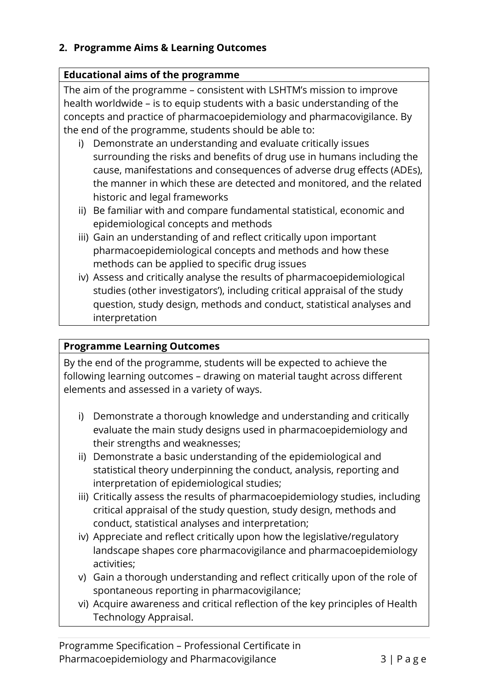## **2. Programme Aims & Learning Outcomes**

## **Educational aims of the programme**

The aim of the programme – consistent with LSHTM's mission to improve health worldwide – is to equip students with a basic understanding of the concepts and practice of pharmacoepidemiology and pharmacovigilance. By the end of the programme, students should be able to:

- i) Demonstrate an understanding and evaluate critically issues surrounding the risks and benefits of drug use in humans including the cause, manifestations and consequences of adverse drug effects (ADEs), the manner in which these are detected and monitored, and the related historic and legal frameworks
- ii) Be familiar with and compare fundamental statistical, economic and epidemiological concepts and methods
- iii) Gain an understanding of and reflect critically upon important pharmacoepidemiological concepts and methods and how these methods can be applied to specific drug issues
- iv) Assess and critically analyse the results of pharmacoepidemiological studies (other investigators'), including critical appraisal of the study question, study design, methods and conduct, statistical analyses and interpretation

## **Programme Learning Outcomes**

By the end of the programme, students will be expected to achieve the following learning outcomes – drawing on material taught across different elements and assessed in a variety of ways.

- i) Demonstrate a thorough knowledge and understanding and critically evaluate the main study designs used in pharmacoepidemiology and their strengths and weaknesses;
- ii) Demonstrate a basic understanding of the epidemiological and statistical theory underpinning the conduct, analysis, reporting and interpretation of epidemiological studies;
- iii) Critically assess the results of pharmacoepidemiology studies, including critical appraisal of the study question, study design, methods and conduct, statistical analyses and interpretation;
- iv) Appreciate and reflect critically upon how the legislative/regulatory landscape shapes core pharmacovigilance and pharmacoepidemiology activities;
- v) Gain a thorough understanding and reflect critically upon of the role of spontaneous reporting in pharmacovigilance;
- vi) Acquire awareness and critical reflection of the key principles of Health Technology Appraisal.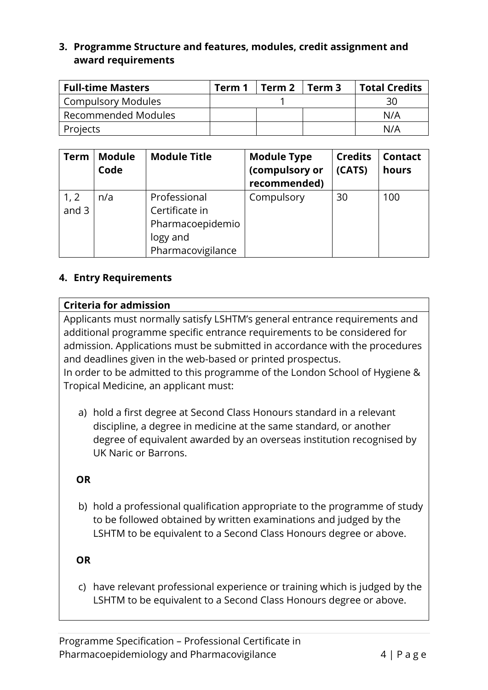### **3. Programme Structure and features, modules, credit assignment and award requirements**

| <b>Full-time Masters</b> | Term 1 | Term 2<br>Term 3 |  | <b>Total Credits</b> |  |
|--------------------------|--------|------------------|--|----------------------|--|
| Compulsory Modules       |        |                  |  | 30                   |  |
| Recommended Modules      |        |                  |  | N/A                  |  |
| Projects                 |        |                  |  | N/A                  |  |

| <b>Term</b>   | <b>Module</b><br>Code | <b>Module Title</b>                                                                 | <b>Module Type</b><br>(compulsory or<br>recommended) | <b>Credits</b><br>(CATS) | <b>Contact</b><br>hours |
|---------------|-----------------------|-------------------------------------------------------------------------------------|------------------------------------------------------|--------------------------|-------------------------|
| 1, 2<br>and 3 | n/a                   | Professional<br>Certificate in<br>Pharmacoepidemio<br>logy and<br>Pharmacovigilance | Compulsory                                           | 30                       | 100                     |

#### **4. Entry Requirements**

#### **Criteria for admission**

Applicants must normally satisfy LSHTM's general entrance requirements and additional programme specific entrance requirements to be considered for admission. Applications must be submitted in accordance with the procedures and deadlines given in the web-based or printed prospectus.

In order to be admitted to this programme of the London School of Hygiene & Tropical Medicine, an applicant must:

a) hold a first degree at Second Class Honours standard in a relevant discipline, a degree in medicine at the same standard, or another degree of equivalent awarded by an overseas institution recognised by UK Naric or Barrons.

#### **OR**

b) hold a professional qualification appropriate to the programme of study to be followed obtained by written examinations and judged by the LSHTM to be equivalent to a Second Class Honours degree or above.

#### **OR**

c) have relevant professional experience or training which is judged by the LSHTM to be equivalent to a Second Class Honours degree or above.